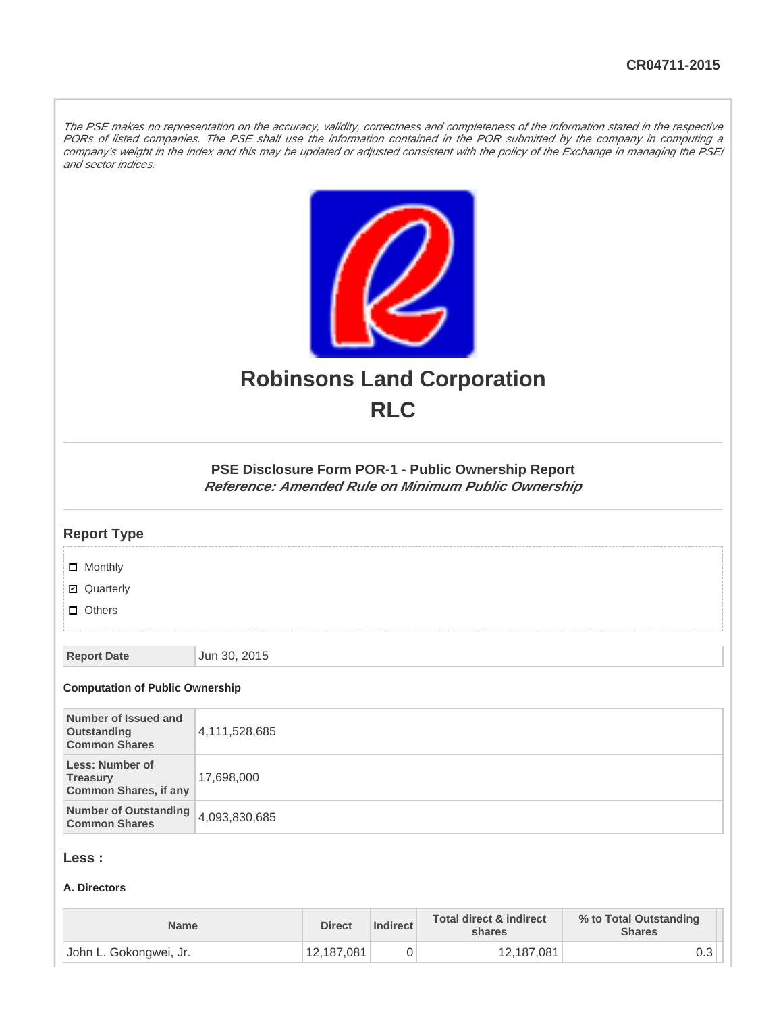The PSE makes no representation on the accuracy, validity, correctness and completeness of the information stated in the respective PORs of listed companies. The PSE shall use the information contained in the POR submitted by the company in computing a company's weight in the index and this may be updated or adjusted consistent with the policy of the Exchange in managing the PSEi and sector indices.



# **Robinsons Land Corporation RLC**

## **PSE Disclosure Form POR-1 - Public Ownership Report Reference: Amended Rule on Minimum Public Ownership**

#### **Report Type**

**D** Monthly

■ Quarterly

**D** Others

**Report Date Jun 30, 2015** 

#### **Computation of Public Ownership**

| Number of Issued and<br>Outstanding<br><b>Common Shares</b>        | 4,111,528,685 |
|--------------------------------------------------------------------|---------------|
| Less: Number of<br><b>Treasury</b><br><b>Common Shares, if any</b> | 17,698,000    |
| Number of Outstanding 4,093,830,685<br><b>Common Shares</b>        |               |

## **Less :**

#### **A. Directors**

| <b>Name</b>            | <b>Direct</b> | Indirect | Total direct & indirect<br>shares | % to Total Outstanding<br><b>Shares</b> |
|------------------------|---------------|----------|-----------------------------------|-----------------------------------------|
| John L. Gokongwei, Jr. | 12,187,081    |          | 12,187,081                        | ∪.∪                                     |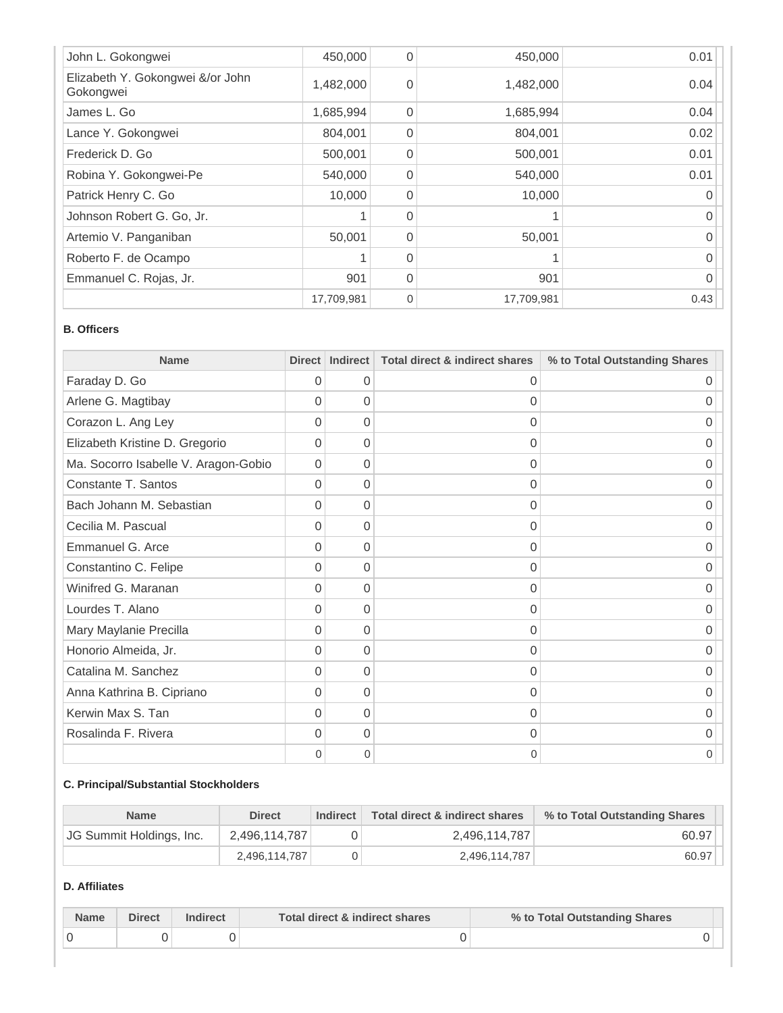| John L. Gokongwei                             | 450,000    | 0           | 450,000    | 0.01 |
|-----------------------------------------------|------------|-------------|------------|------|
| Elizabeth Y. Gokongwei &/or John<br>Gokongwei | 1,482,000  | $\Omega$    | 1,482,000  | 0.04 |
| James L. Go                                   | 1,685,994  | $\Omega$    | 1,685,994  | 0.04 |
| Lance Y. Gokongwei                            | 804,001    | $\Omega$    | 804,001    | 0.02 |
| Frederick D. Go                               | 500,001    | $\Omega$    | 500,001    | 0.01 |
| Robina Y. Gokongwei-Pe                        | 540,000    | $\Omega$    | 540,000    | 0.01 |
| Patrick Henry C. Go                           | 10,000     | $\Omega$    | 10,000     | 0    |
| Johnson Robert G. Go, Jr.                     |            | $\Omega$    |            | 0    |
| Artemio V. Panganiban                         | 50,001     | $\Omega$    | 50,001     | 0    |
| Roberto F. de Ocampo                          |            | $\Omega$    |            | 0    |
| Emmanuel C. Rojas, Jr.                        | 901        | $\Omega$    | 901        | 0    |
|                                               | 17,709,981 | $\mathbf 0$ | 17,709,981 | 0.43 |

#### **B. Officers**

| <b>Name</b>                          | Direct         | <b>Indirect</b> | <b>Total direct &amp; indirect shares</b> | % to Total Outstanding Shares |
|--------------------------------------|----------------|-----------------|-------------------------------------------|-------------------------------|
| Faraday D. Go                        | 0              | 0               | 0                                         | 0                             |
| Arlene G. Magtibay                   | 0              | 0               | $\Omega$                                  | Ω                             |
| Corazon L. Ang Ley                   | 0              | 0               | $\Omega$                                  | Ω                             |
| Elizabeth Kristine D. Gregorio       | 0              | 0               | $\Omega$                                  | Ⴖ                             |
| Ma. Socorro Isabelle V. Aragon-Gobio | 0              | 0               | $\Omega$                                  | Ω                             |
| Constante T. Santos                  | $\Omega$       | $\Omega$        | $\Omega$                                  | 0                             |
| Bach Johann M. Sebastian             | 0              | 0               | $\Omega$                                  | $\cup$                        |
| Cecilia M. Pascual                   | $\overline{0}$ | $\overline{0}$  | $\Omega$                                  | 0                             |
| Emmanuel G. Arce                     | 0              | 0               | $\Omega$                                  | 0                             |
| Constantino C. Felipe                | $\Omega$       | $\overline{0}$  | $\Omega$                                  | 0                             |
| Winifred G. Maranan                  | 0              | 0               | 0                                         | Ⴖ                             |
| Lourdes T. Alano                     | 0              | 0               | $\Omega$                                  | ი                             |
| Mary Maylanie Precilla               | 0              | $\Omega$        | $\Omega$                                  | 0                             |
| Honorio Almeida, Jr.                 | $\Omega$       | 0               | $\Omega$                                  | $\cup$                        |
| Catalina M. Sanchez                  | $\Omega$       | $\overline{0}$  | $\Omega$                                  | Ω                             |
| Anna Kathrina B. Cipriano            | $\overline{0}$ | $\overline{0}$  | $\Omega$                                  | 0                             |
| Kerwin Max S. Tan                    | $\Omega$       | $\overline{0}$  | $\Omega$                                  | 0                             |
| Rosalinda F. Rivera                  | 0              | 0               | 0                                         | Ⴖ                             |
|                                      | 0              | 0               | 0                                         | 0                             |

## **C. Principal/Substantial Stockholders**

| <b>Name</b>              | <b>Direct</b> | Indirect | Total direct & indirect shares | % to Total Outstanding Shares |
|--------------------------|---------------|----------|--------------------------------|-------------------------------|
| JG Summit Holdings, Inc. | 2,496,114,787 |          | 2,496,114,787                  | 60.97                         |
|                          | 2.496.114.787 |          | 2,496,114,787                  | 60.97                         |

# **D. Affiliates**

| <b>Name</b> | Direct | Indirect | Total direct & indirect shares | % to Total Outstanding Shares |  |
|-------------|--------|----------|--------------------------------|-------------------------------|--|
|             |        |          |                                |                               |  |